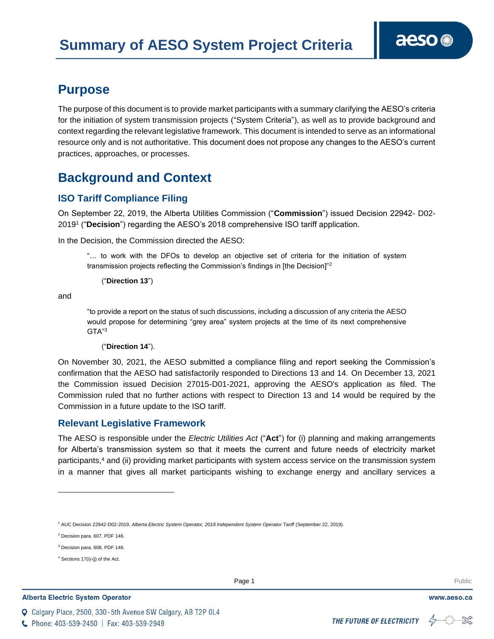### **Purpose**

The purpose of this document is to provide market participants with a summary clarifying the AESO's criteria for the initiation of system transmission projects ("System Criteria"), as well as to provide background and context regarding the relevant legislative framework. This document is intended to serve as an informational resource only and is not authoritative. This document does not propose any changes to the AESO's current practices, approaches, or processes.

### **Background and Context**

### **ISO Tariff Compliance Filing**

On September 22, 2019, the Alberta Utilities Commission ("**Commission**") issued Decision 22942- D02- 2019<sup>1</sup> ("**Decision**") regarding the AESO's 2018 comprehensive ISO tariff application.

In the Decision, the Commission directed the AESO:

"… to work with the DFOs to develop an objective set of criteria for the initiation of system transmission projects reflecting the Commission's findings in [the Decision]"<sup>2</sup>

("**Direction 13**")

and

"to provide a report on the status of such discussions, including a discussion of any criteria the AESO would propose for determining "grey area" system projects at the time of its next comprehensive GTA"<sup>3</sup>

#### ("**Direction 14**").

On November 30, 2021, the AESO submitted a compliance filing and report seeking the Commission's confirmation that the AESO had satisfactorily responded to Directions 13 and 14. On December 13, 2021 the Commission issued Decision 27015-D01-2021, approving the AESO's application as filed. The Commission ruled that no further actions with respect to Direction 13 and 14 would be required by the Commission in a future update to the ISO tariff.

#### **Relevant Legislative Framework**

The AESO is responsible under the *Electric Utilities Act* ("**Act**") for (i) planning and making arrangements for Alberta's transmission system so that it meets the current and future needs of electricity market participants,<sup>4</sup> and (ii) providing market participants with system access service on the transmission system in a manner that gives all market participants wishing to exchange energy and ancillary services a

#### **Alberta Electric System Operator**

Q Calgary Place, 2500, 330-5th Avenue SW Calgary, AB T2P 0L4

**Enter Football Page 1** Public Page 1 **Public Page 1** Public Public Public Public Public Public Public Public Public Public Public Public Public Public Public Public Public Public Public Public Public Public Public Public

www.aeso.ca

<sup>1</sup> AUC Decision 22942-D02-2019, *Alberta Electric System Operator, 2018 Independent System Operator Tariff* (September 22, 2019).

<sup>2</sup> Decision para. 607, PDF 146.

<sup>3</sup> Decision para. 608, PDF 146.

<sup>4</sup> Sections 17(i)-(j) of the Act.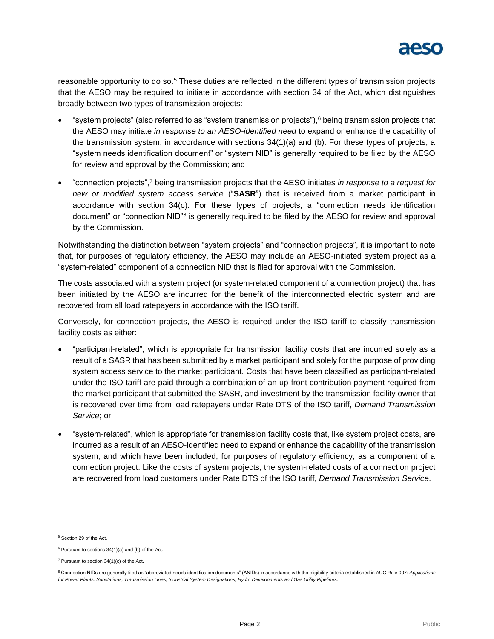

reasonable opportunity to do so.<sup>5</sup> These duties are reflected in the different types of transmission projects that the AESO may be required to initiate in accordance with section 34 of the Act, which distinguishes broadly between two types of transmission projects:

- "system projects" (also referred to as "system transmission projects"),<sup>6</sup> being transmission projects that the AESO may initiate *in response to an AESO-identified need* to expand or enhance the capability of the transmission system, in accordance with sections 34(1)(a) and (b). For these types of projects, a "system needs identification document" or "system NID" is generally required to be filed by the AESO for review and approval by the Commission; and
- "connection projects",<sup>7</sup> being transmission projects that the AESO initiates *in response to a request for new or modified system access service* ("**SASR**") that is received from a market participant in accordance with section 34(c). For these types of projects, a "connection needs identification document" or "connection NID"<sup>8</sup> is generally required to be filed by the AESO for review and approval by the Commission.

Notwithstanding the distinction between "system projects" and "connection projects", it is important to note that, for purposes of regulatory efficiency, the AESO may include an AESO-initiated system project as a "system-related" component of a connection NID that is filed for approval with the Commission.

The costs associated with a system project (or system-related component of a connection project) that has been initiated by the AESO are incurred for the benefit of the interconnected electric system and are recovered from all load ratepayers in accordance with the ISO tariff.

Conversely, for connection projects, the AESO is required under the ISO tariff to classify transmission facility costs as either:

- "participant-related", which is appropriate for transmission facility costs that are incurred solely as a result of a SASR that has been submitted by a market participant and solely for the purpose of providing system access service to the market participant. Costs that have been classified as participant-related under the ISO tariff are paid through a combination of an up-front contribution payment required from the market participant that submitted the SASR, and investment by the transmission facility owner that is recovered over time from load ratepayers under Rate DTS of the ISO tariff, *Demand Transmission Service*; or
- "system-related", which is appropriate for transmission facility costs that, like system project costs, are incurred as a result of an AESO-identified need to expand or enhance the capability of the transmission system, and which have been included, for purposes of regulatory efficiency, as a component of a connection project. Like the costs of system projects, the system-related costs of a connection project are recovered from load customers under Rate DTS of the ISO tariff, *Demand Transmission Service*.

<sup>&</sup>lt;sup>5</sup> Section 29 of the Act.

 $6$  Pursuant to sections  $34(1)(a)$  and (b) of the Act.

 $7$  Pursuant to section 34(1)(c) of the Act.

<sup>8</sup> Connection NIDs are generally filed as "abbreviated needs identification documents" (ANIDs) in accordance with the eligibility criteria established in AUC Rule 007: *Applications for Power Plants, Substations, Transmission Lines, Industrial System Designations, Hydro Developments and Gas Utility Pipelines*.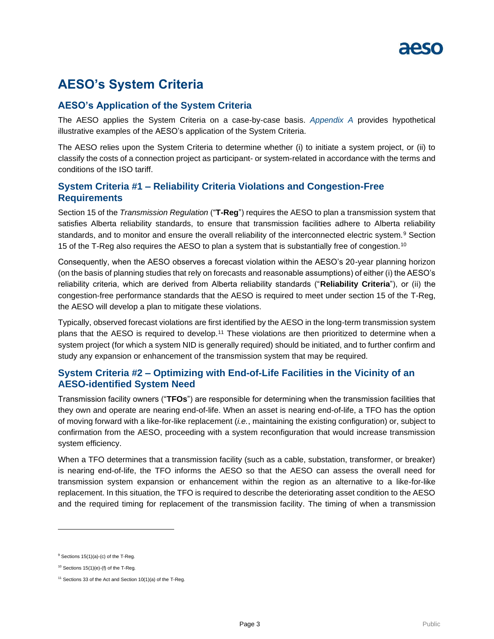## **AESO's System Criteria**

#### **AESO's Application of the System Criteria**

The AESO applies the System Criteria on a case-by-case basis. *Appendix A* provides hypothetical illustrative examples of the AESO's application of the System Criteria.

The AESO relies upon the System Criteria to determine whether (i) to initiate a system project, or (ii) to classify the costs of a connection project as participant- or system-related in accordance with the terms and conditions of the ISO tariff.

#### **System Criteria #1 – Reliability Criteria Violations and Congestion-Free Requirements**

Section 15 of the *Transmission Regulation* ("**T-Reg**") requires the AESO to plan a transmission system that satisfies Alberta reliability standards, to ensure that transmission facilities adhere to Alberta reliability standards, and to monitor and ensure the overall reliability of the interconnected electric system.<sup>9</sup> Section 15 of the T-Reg also requires the AESO to plan a system that is substantially free of congestion.<sup>10</sup>

Consequently, when the AESO observes a forecast violation within the AESO's 20-year planning horizon (on the basis of planning studies that rely on forecasts and reasonable assumptions) of either (i) the AESO's reliability criteria, which are derived from Alberta reliability standards ("**Reliability Criteria**"), or (ii) the congestion-free performance standards that the AESO is required to meet under section 15 of the T-Reg, the AESO will develop a plan to mitigate these violations.

Typically, observed forecast violations are first identified by the AESO in the long-term transmission system plans that the AESO is required to develop.<sup>11</sup> These violations are then prioritized to determine when a system project (for which a system NID is generally required) should be initiated, and to further confirm and study any expansion or enhancement of the transmission system that may be required.

#### **System Criteria #2 – Optimizing with End-of-Life Facilities in the Vicinity of an AESO-identified System Need**

Transmission facility owners ("**TFOs**") are responsible for determining when the transmission facilities that they own and operate are nearing end-of-life. When an asset is nearing end-of-life, a TFO has the option of moving forward with a like-for-like replacement (*i.e.*, maintaining the existing configuration) or, subject to confirmation from the AESO, proceeding with a system reconfiguration that would increase transmission system efficiency.

When a TFO determines that a transmission facility (such as a cable, substation, transformer, or breaker) is nearing end-of-life, the TFO informs the AESO so that the AESO can assess the overall need for transmission system expansion or enhancement within the region as an alternative to a like-for-like replacement. In this situation, the TFO is required to describe the deteriorating asset condition to the AESO and the required timing for replacement of the transmission facility. The timing of when a transmission

<sup>9</sup> Sections 15(1)(a)-(c) of the T-Reg*.*

<sup>10</sup> Sections 15(1)(e)-(f) of the T-Reg*.*

 $11$  Sections 33 of the Act and Section 10(1)(a) of the T-Reg.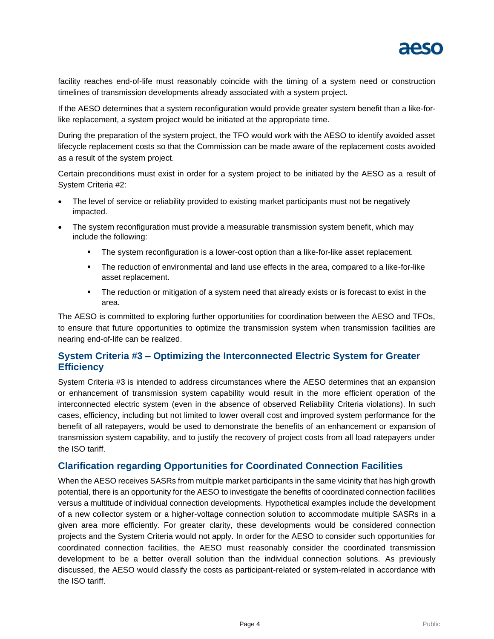

facility reaches end-of-life must reasonably coincide with the timing of a system need or construction timelines of transmission developments already associated with a system project.

If the AESO determines that a system reconfiguration would provide greater system benefit than a like-forlike replacement, a system project would be initiated at the appropriate time.

During the preparation of the system project, the TFO would work with the AESO to identify avoided asset lifecycle replacement costs so that the Commission can be made aware of the replacement costs avoided as a result of the system project.

Certain preconditions must exist in order for a system project to be initiated by the AESO as a result of System Criteria #2:

- The level of service or reliability provided to existing market participants must not be negatively impacted.
- The system reconfiguration must provide a measurable transmission system benefit, which may include the following:
	- **•** The system reconfiguration is a lower-cost option than a like-for-like asset replacement.
	- **•** The reduction of environmental and land use effects in the area, compared to a like-for-like asset replacement.
	- **•** The reduction or mitigation of a system need that already exists or is forecast to exist in the area.

The AESO is committed to exploring further opportunities for coordination between the AESO and TFOs, to ensure that future opportunities to optimize the transmission system when transmission facilities are nearing end-of-life can be realized.

#### **System Criteria #3 – Optimizing the Interconnected Electric System for Greater Efficiency**

System Criteria #3 is intended to address circumstances where the AESO determines that an expansion or enhancement of transmission system capability would result in the more efficient operation of the interconnected electric system (even in the absence of observed Reliability Criteria violations). In such cases, efficiency, including but not limited to lower overall cost and improved system performance for the benefit of all ratepayers, would be used to demonstrate the benefits of an enhancement or expansion of transmission system capability, and to justify the recovery of project costs from all load ratepayers under the ISO tariff.

#### **Clarification regarding Opportunities for Coordinated Connection Facilities**

When the AESO receives SASRs from multiple market participants in the same vicinity that has high growth potential, there is an opportunity for the AESO to investigate the benefits of coordinated connection facilities versus a multitude of individual connection developments. Hypothetical examples include the development of a new collector system or a higher-voltage connection solution to accommodate multiple SASRs in a given area more efficiently. For greater clarity, these developments would be considered connection projects and the System Criteria would not apply. In order for the AESO to consider such opportunities for coordinated connection facilities, the AESO must reasonably consider the coordinated transmission development to be a better overall solution than the individual connection solutions. As previously discussed, the AESO would classify the costs as participant-related or system-related in accordance with the ISO tariff.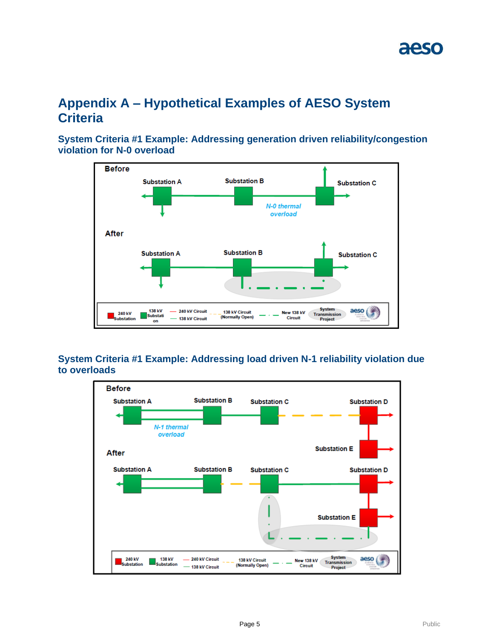## **Appendix A – Hypothetical Examples of AESO System Criteria**

**System Criteria #1 Example: Addressing generation driven reliability/congestion violation for N-0 overload**



### **System Criteria #1 Example: Addressing load driven N-1 reliability violation due to overloads**

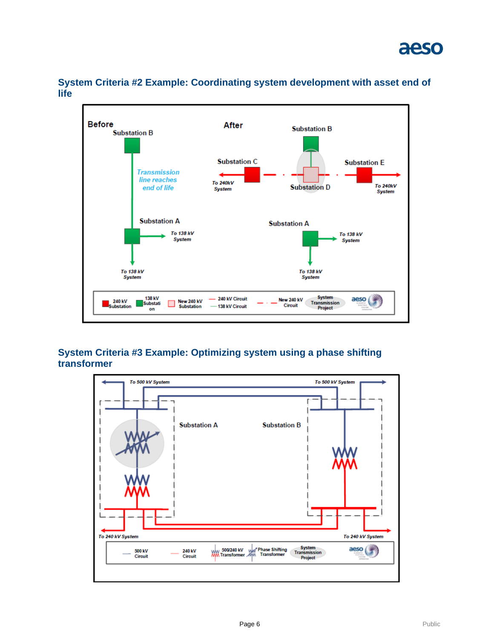

**System Criteria #2 Example: Coordinating system development with asset end of life**

### **System Criteria #3 Example: Optimizing system using a phase shifting transformer**